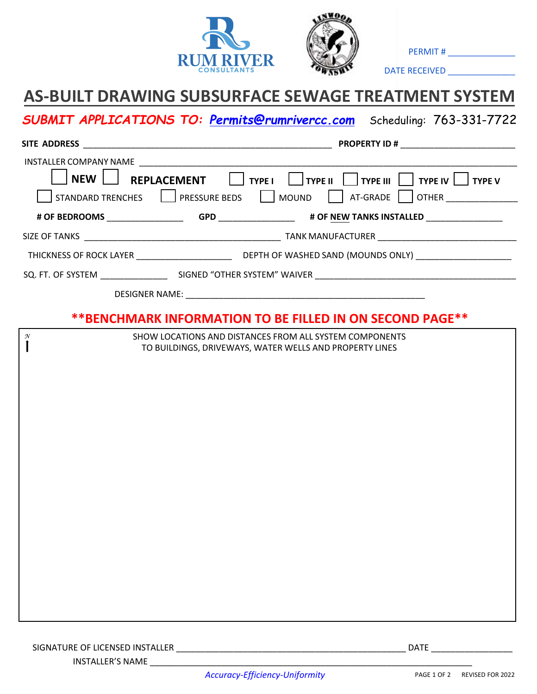



PERMIT # \_\_\_\_\_\_\_\_\_\_\_\_\_\_

DATE RECEIVED \_\_\_\_\_\_\_\_\_\_\_\_\_\_

## **AS-BUILT DRAWING SUBSURFACE SEWAGE TREATMENT SYSTEM**

*SUBMIT APPLICATIONS TO: Permits@rumrivercc.com* Scheduling: 763-331-7722

|                                                              | <b>PROPERTY ID #</b>                                                                                     |
|--------------------------------------------------------------|----------------------------------------------------------------------------------------------------------|
|                                                              |                                                                                                          |
| <b>NEW</b><br>STANDARD TRENCHES   PRESSURE BEDS   MOUND      | REPLACEMENT     TYPE I   TYPE II   TYPE III   TYPE IV   TYPE V<br>$\vert$ $\vert$ at-grade $\vert$ other |
|                                                              |                                                                                                          |
|                                                              |                                                                                                          |
|                                                              |                                                                                                          |
|                                                              |                                                                                                          |
|                                                              |                                                                                                          |
| **BENCHMARK INFORMATION TO BE FILLED IN ON SECOND PAGE**     |                                                                                                          |
| N<br>SHOW LOCATIONS AND DISTANCES FROM ALL SYSTEM COMPONENTS |                                                                                                          |
| TO BUILDINGS, DRIVEWAYS, WATER WELLS AND PROPERTY LINES      |                                                                                                          |
|                                                              |                                                                                                          |
|                                                              |                                                                                                          |
|                                                              |                                                                                                          |
|                                                              |                                                                                                          |
|                                                              |                                                                                                          |
|                                                              |                                                                                                          |
|                                                              |                                                                                                          |
|                                                              |                                                                                                          |
|                                                              |                                                                                                          |
|                                                              |                                                                                                          |
|                                                              |                                                                                                          |
|                                                              |                                                                                                          |
|                                                              |                                                                                                          |
|                                                              |                                                                                                          |
|                                                              |                                                                                                          |